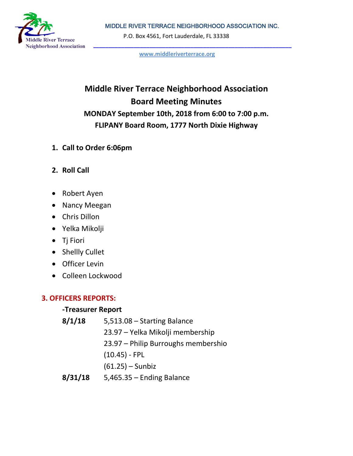MIDDLE RIVER TERRACE NEIGHBORHOOD ASSOCIATION INC.



P.O. Box 4561, Fort Lauderdale, FL 33338

**[www.middleriverterrace.org](http://www.middleriverterrace.org/)**

# **Middle River Terrace Neighborhood Association Board Meeting Minutes MONDAY September 10th, 2018 from 6:00 to 7:00 p.m. FLIPANY Board Room, 1777 North Dixie Highway**

- **1. Call to Order 6:06pm**
- **2. Roll Call**
- Robert Ayen
- Nancy Meegan
- Chris Dillon
- Yelka Mikolji
- Tj Fiori
- Shellly Cullet
- Officer Levin
- Colleen Lockwood

## **3. OFFICERS REPORTS:**

#### **-Treasurer Report**

| 8/1/18  | 5,513.08 - Starting Balance         |
|---------|-------------------------------------|
|         | 23.97 – Yelka Mikolji membership    |
|         | 23.97 – Philip Burroughs membershio |
|         | $(10.45)$ - FPL                     |
|         | $(61.25) -$ Sunbiz                  |
| R/21/1R | $5.465.35 -$ Ending Ralance         |

**8/31/18** 5,465.35 – Ending Balance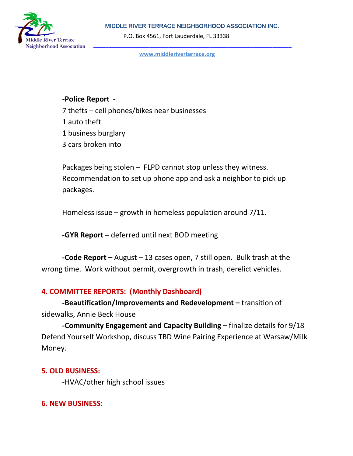MIDDLE RIVER TERRACE NEIGHBORHOOD ASSOCIATION INC.



P.O. Box 4561, Fort Lauderdale, FL 33338

**[www.middleriverterrace.org](http://www.middleriverterrace.org/)**

#### **-Police Report -**

7 thefts – cell phones/bikes near businesses 1 auto theft 1 business burglary 3 cars broken into

Packages being stolen – FLPD cannot stop unless they witness. Recommendation to set up phone app and ask a neighbor to pick up packages.

Homeless issue – growth in homeless population around 7/11.

**-GYR Report –** deferred until next BOD meeting

**-Code Report –** August – 13 cases open, 7 still open. Bulk trash at the wrong time. Work without permit, overgrowth in trash, derelict vehicles.

#### **4. COMMITTEE REPORTS: (Monthly Dashboard)**

**-Beautification/Improvements and Redevelopment –** transition of sidewalks, Annie Beck House

**-Community Engagement and Capacity Building –** finalize details for 9/18 Defend Yourself Workshop, discuss TBD Wine Pairing Experience at Warsaw/Milk Money.

#### **5. OLD BUSINESS:**

-HVAC/other high school issues

#### **6. NEW BUSINESS:**